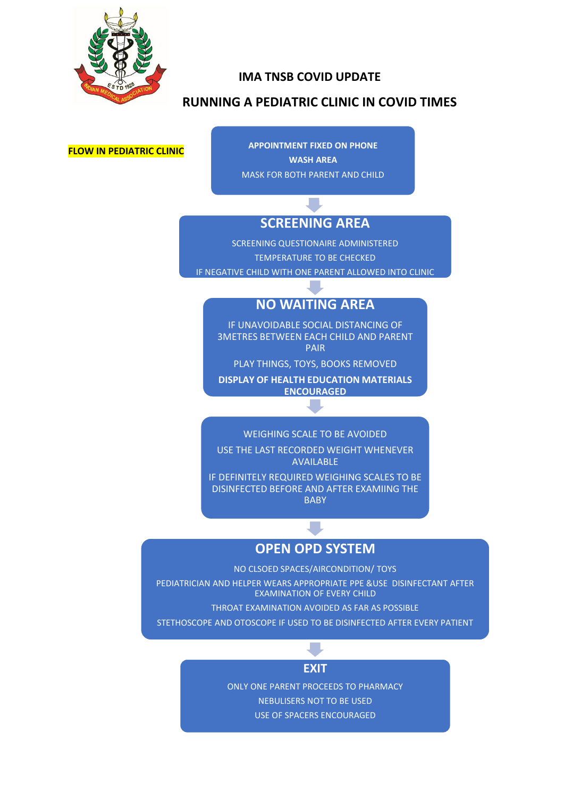

#### **IMA TNSB COVID UPDATE**

### **RUNNING A PEDIATRIC CLINIC IN COVID TIMES**

**FLOW IN PEDIATRIC CLINIC CONNECT APPOINTMENT FIXED ON PHONE WASH AREA** MASK FOR BOTH PARENT AND CHILD

# **SCREENING AREA**

 $\mathcal{L}_{\mathcal{A}}$ 

SCREENING QUESTIONAIRE ADMINISTERED TEMPERATURE TO BE CHECKED IF NEGATIVE CHILD WITH ONE PARENT ALLOWED INTO CLINIC

## **NO WAITING AREA**

IF UNAVOIDABLE SOCIAL DISTANCING OF 3METRES BETWEEN EACH CHILD AND PARENT PAIR

PLAY THINGS, TOYS, BOOKS REMOVED

**DISPLAY OF HEALTH EDUCATION MATERIALS ENCOURAGED**

WEIGHING SCALE TO BE AVOIDED

USE THE LAST RECORDED WEIGHT WHENEVER **AVAILABLE** 

IF DEFINITELY REQUIRED WEIGHING SCALES TO BE DISINFECTED BEFORE AND AFTER EXAMIING THE **BABY** 

## **OPEN OPD SYSTEM**

NO CLSOED SPACES/AIRCONDITION/ TOYS PEDIATRICIAN AND HELPER WEARS APPROPRIATE PPE &USE DISINFECTANT AFTER EXAMINATION OF EVERY CHILD THROAT EXAMINATION AVOIDED AS FAR AS POSSIBLE

STETHOSCOPE AND OTOSCOPE IF USED TO BE DISINFECTED AFTER EVERY PATIENT

## **EXIT**

ONLY ONE PARENT PROCEEDS TO PHARMACY NEBULISERS NOT TO BE USED USE OF SPACERS ENCOURAGED